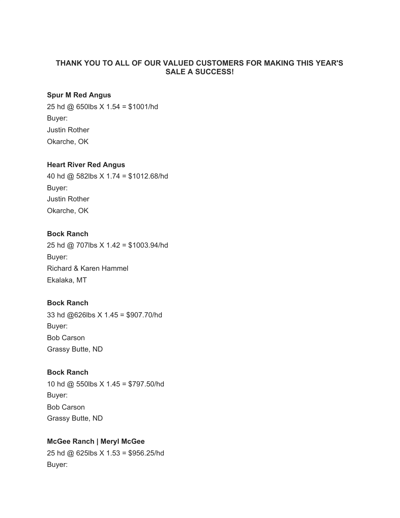## **THANK YOU TO ALL OF OUR VALUED CUSTOMERS FOR MAKING THIS YEAR'S SALE A SUCCESS!**

#### **Spur M Red Angus**

25 hd @ 650lbs X 1.54 = \$1001/hd Buyer: Justin Rother Okarche, OK

#### **Heart River Red Angus**

40 hd @ 582lbs X 1.74 = \$1012.68/hd Buyer: Justin Rother Okarche, OK

## **Bock Ranch**

25 hd @ 707lbs X 1.42 = \$1003.94/hd Buyer: Richard & Karen Hammel Ekalaka, MT

#### **Bock Ranch**

33 hd @626lbs X 1.45 = \$907.70/hd Buyer: Bob Carson Grassy Butte, ND

# **Bock Ranch**

10 hd @ 550lbs X 1.45 = \$797.50/hd Buyer: Bob Carson Grassy Butte, ND

#### **McGee Ranch | Meryl McGee**

25 hd @ 625lbs X 1.53 = \$956.25/hd Buyer: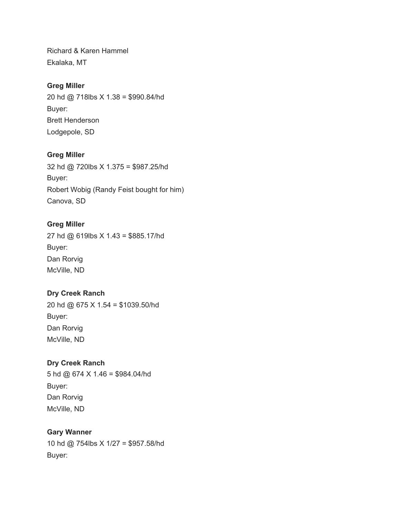Richard & Karen Hammel Ekalaka, MT

# **Greg Miller**

20 hd @ 718lbs X 1.38 = \$990.84/hd Buyer: Brett Henderson Lodgepole, SD

## **Greg Miller**

32 hd @ 720lbs X 1.375 = \$987.25/hd Buyer: Robert Wobig (Randy Feist bought for him) Canova, SD

## **Greg Miller**

27 hd @ 619lbs X 1.43 = \$885.17/hd Buyer: Dan Rorvig McVille, ND

## **Dry Creek Ranch**

20 hd @ 675 X 1.54 = \$1039.50/hd Buyer: Dan Rorvig McVille, ND

## **Dry Creek Ranch**

5 hd @ 674 X 1.46 = \$984.04/hd Buyer: Dan Rorvig McVille, ND

## **Gary Wanner**

10 hd @ 754lbs X 1/27 = \$957.58/hd Buyer: